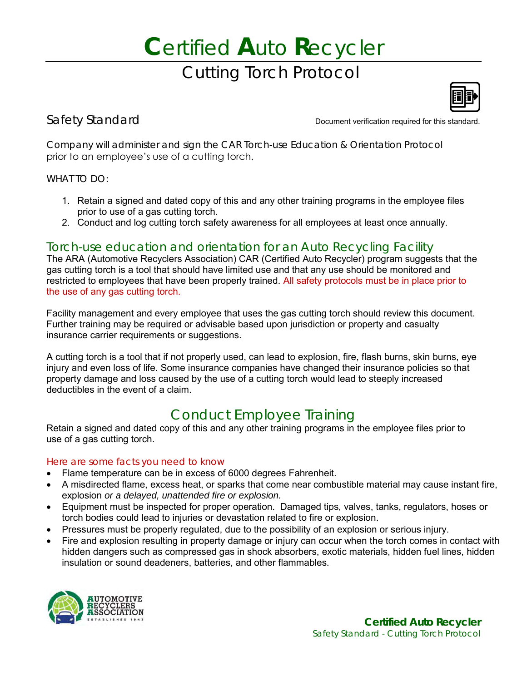# **C**ertified **A**uto **R**ecycler Cutting Torch Protocol



Safety Standard **Document verification required for this standard.** 

Company will administer and sign the CAR Torch-use Education & Orientation Protocol prior to an employee's use of a cutting torch.

#### WHAT TO DO:

- 1. Retain a signed and dated copy of this and any other training programs in the employee files prior to use of a gas cutting torch.
- 2. Conduct and log cutting torch safety awareness for all employees at least once annually.

#### Torch-use education and orientation for an Auto Recycling Facility

The ARA (Automotive Recyclers Association) CAR (Certified Auto Recycler) program suggests that the gas cutting torch is a tool that should have limited use and that any use should be monitored and restricted to employees that have been properly trained. All safety protocols must be in place prior to the use of any gas cutting torch.

Facility management and every employee that uses the gas cutting torch should review this document. Further training may be required or advisable based upon jurisdiction or property and casualty insurance carrier requirements or suggestions.

A cutting torch is a tool that if not properly used, can lead to explosion, fire, flash burns, skin burns, eye injury and even loss of life. Some insurance companies have changed their insurance policies so that property damage and loss caused by the use of a cutting torch would lead to steeply increased deductibles in the event of a claim.

### Conduct Employee Training

Retain a signed and dated copy of this and any other training programs in the employee files prior to use of a gas cutting torch.

#### Here are some facts you need to know

- Flame temperature can be in excess of 6000 degrees Fahrenheit.
- A misdirected flame, excess heat, or sparks that come near combustible material may cause instant fire, explosion *or a delayed, unattended fire or explosion.*
- Equipment must be inspected for proper operation. Damaged tips, valves, tanks, regulators, hoses or torch bodies could lead to injuries or devastation related to fire or explosion.
- Pressures must be properly regulated, due to the possibility of an explosion or serious injury.
- Fire and explosion resulting in property damage or injury can occur when the torch comes in contact with hidden dangers such as compressed gas in shock absorbers, exotic materials, hidden fuel lines, hidden insulation or sound deadeners, batteries, and other flammables.

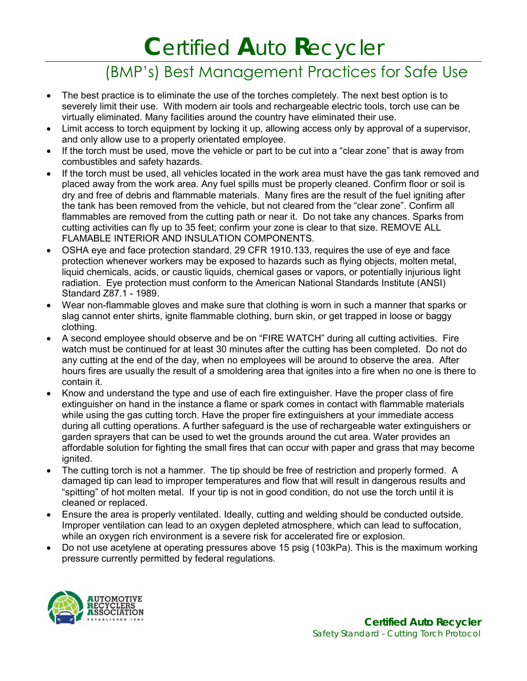# **C**ertified **A**uto **R**ecycler

### (BMP's) Best Management Practices for Safe Use

- The best practice is to eliminate the use of the torches completely. The next best option is to severely limit their use. With modern air tools and rechargeable electric tools, torch use can be virtually eliminated. Many facilities around the country have eliminated their use.
- Limit access to torch equipment by locking it up, allowing access only by approval of a supervisor, and only allow use to a properly orientated employee.
- If the torch must be used, move the vehicle or part to be cut into a "clear zone" that is away from combustibles and safety hazards.
- If the torch must be used, all vehicles located in the work area must have the gas tank removed and placed away from the work area. Any fuel spills must be properly cleaned. Confirm floor or soil is dry and free of debris and flammable materials. Many fires are the result of the fuel igniting after the tank has been removed from the vehicle, but not cleared from the "clear zone". Confirm all flammables are removed from the cutting path or near it. Do not take any chances. Sparks from cutting activities can fly up to 35 feet; confirm your zone is clear to that size. REMOVE ALL FLAMABLE INTERIOR AND INSULATION COMPONENTS.
- OSHA eye and face protection standard, 29 CFR 1910.133, requires the use of eye and face protection whenever workers may be exposed to hazards such as flying objects, molten metal, liquid chemicals, acids, or caustic liquids, chemical gases or vapors, or potentially injurious light radiation. Eye protection must conform to the American National Standards Institute (ANSI) Standard Z87.1 - 1989.
- Wear non-flammable gloves and make sure that clothing is worn in such a manner that sparks or slag cannot enter shirts, ignite flammable clothing, burn skin, or get trapped in loose or baggy clothing.
- A second employee should observe and be on "FIRE WATCH" during all cutting activities. Fire watch must be continued for at least 30 minutes after the cutting has been completed. Do not do any cutting at the end of the day, when no employees will be around to observe the area. After hours fires are usually the result of a smoldering area that ignites into a fire when no one is there to contain it.
- Know and understand the type and use of each fire extinguisher. Have the proper class of fire extinguisher on hand in the instance a flame or spark comes in contact with flammable materials while using the gas cutting torch. Have the proper fire extinguishers at your immediate access during all cutting operations. A further safeguard is the use of rechargeable water extinguishers or garden sprayers that can be used to wet the grounds around the cut area. Water provides an affordable solution for fighting the small fires that can occur with paper and grass that may become ignited.
- The cutting torch is not a hammer. The tip should be free of restriction and properly formed. A damaged tip can lead to improper temperatures and flow that will result in dangerous results and "spitting" of hot molten metal. If your tip is not in good condition, do not use the torch until it is cleaned or replaced.
- Ensure the area is properly ventilated. Ideally, cutting and welding should be conducted outside. Improper ventilation can lead to an oxygen depleted atmosphere, which can lead to suffocation, while an oxygen rich environment is a severe risk for accelerated fire or explosion.
- Do not use acetylene at operating pressures above 15 psig (103kPa). This is the maximum working pressure currently permitted by federal regulations.